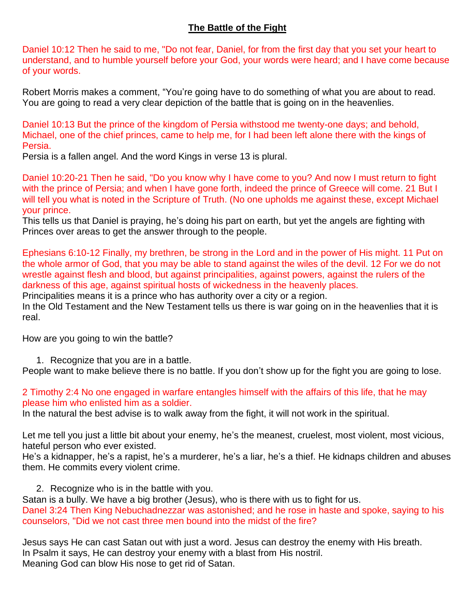## **The Battle of the Fight**

Daniel 10:12 Then he said to me, "Do not fear, Daniel, for from the first day that you set your heart to understand, and to humble yourself before your God, your words were heard; and I have come because of your words.

Robert Morris makes a comment, "You're going have to do something of what you are about to read. You are going to read a very clear depiction of the battle that is going on in the heavenlies.

Daniel 10:13 But the prince of the kingdom of Persia withstood me twenty-one days; and behold, Michael, one of the chief princes, came to help me, for I had been left alone there with the kings of Persia.

Persia is a fallen angel. And the word Kings in verse 13 is plural.

Daniel 10:20-21 Then he said, "Do you know why I have come to you? And now I must return to fight with the prince of Persia; and when I have gone forth, indeed the prince of Greece will come. 21 But I will tell you what is noted in the Scripture of Truth. (No one upholds me against these, except Michael your prince.

This tells us that Daniel is praying, he's doing his part on earth, but yet the angels are fighting with Princes over areas to get the answer through to the people.

Ephesians 6:10-12 Finally, my brethren, be strong in the Lord and in the power of His might. 11 Put on the whole armor of God, that you may be able to stand against the wiles of the devil. 12 For we do not wrestle against flesh and blood, but against principalities, against powers, against the rulers of the darkness of this age, against spiritual hosts of wickedness in the heavenly places.

Principalities means it is a prince who has authority over a city or a region.

In the Old Testament and the New Testament tells us there is war going on in the heavenlies that it is real.

How are you going to win the battle?

1. Recognize that you are in a battle.

People want to make believe there is no battle. If you don't show up for the fight you are going to lose.

2 Timothy 2:4 No one engaged in warfare entangles himself with the affairs of this life, that he may please him who enlisted him as a soldier.

In the natural the best advise is to walk away from the fight, it will not work in the spiritual.

Let me tell you just a little bit about your enemy, he's the meanest, cruelest, most violent, most vicious, hateful person who ever existed.

He's a kidnapper, he's a rapist, he's a murderer, he's a liar, he's a thief. He kidnaps children and abuses them. He commits every violent crime.

2. Recognize who is in the battle with you.

Satan is a bully. We have a big brother (Jesus), who is there with us to fight for us. Danel 3:24 Then King Nebuchadnezzar was astonished; and he rose in haste and spoke, saying to his counselors, "Did we not cast three men bound into the midst of the fire?

Jesus says He can cast Satan out with just a word. Jesus can destroy the enemy with His breath. In Psalm it says, He can destroy your enemy with a blast from His nostril. Meaning God can blow His nose to get rid of Satan.